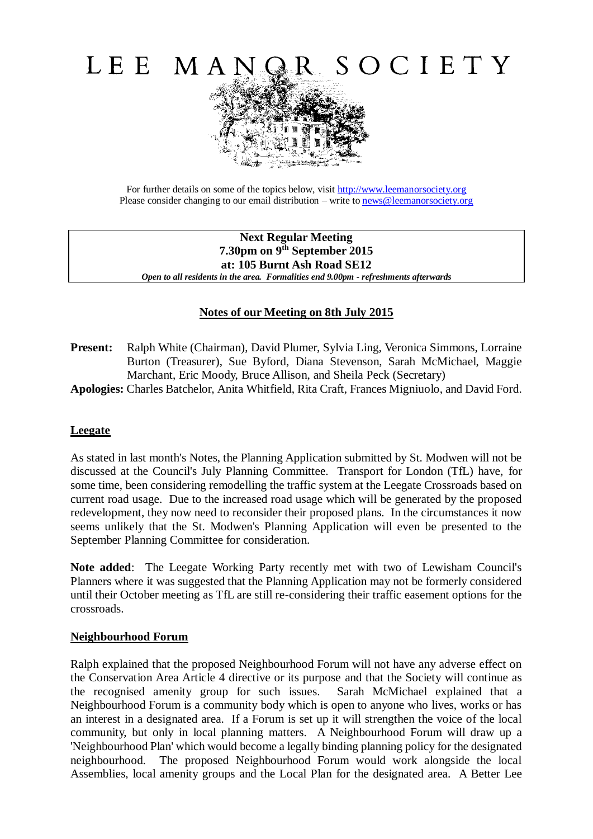

For further details on some of the topics below, visit [http://www.leemanorsociety.org](http://www.leemanorsociety.org/) Please consider changing to our email distribution – write to [news@leemanorsociety.org](mailto:news@leemanorsociety.org)

**Next Regular Meeting 7.30pm on 9th September 2015 at: 105 Burnt Ash Road SE12**  *Open to all residents in the area. Formalities end 9.00pm - refreshments afterwards*

# **Notes of our Meeting on 8th July 2015**

- **Present:** Ralph White (Chairman), David Plumer, Sylvia Ling, Veronica Simmons, Lorraine Burton (Treasurer), Sue Byford, Diana Stevenson, Sarah McMichael, Maggie Marchant, Eric Moody, Bruce Allison, and Sheila Peck (Secretary)
- **Apologies:** Charles Batchelor, Anita Whitfield, Rita Craft, Frances Migniuolo, and David Ford.

#### **Leegate**

As stated in last month's Notes, the Planning Application submitted by St. Modwen will not be discussed at the Council's July Planning Committee. Transport for London (TfL) have, for some time, been considering remodelling the traffic system at the Leegate Crossroads based on current road usage. Due to the increased road usage which will be generated by the proposed redevelopment, they now need to reconsider their proposed plans. In the circumstances it now seems unlikely that the St. Modwen's Planning Application will even be presented to the September Planning Committee for consideration.

**Note added**: The Leegate Working Party recently met with two of Lewisham Council's Planners where it was suggested that the Planning Application may not be formerly considered until their October meeting as TfL are still re-considering their traffic easement options for the crossroads.

#### **Neighbourhood Forum**

Ralph explained that the proposed Neighbourhood Forum will not have any adverse effect on the Conservation Area Article 4 directive or its purpose and that the Society will continue as the recognised amenity group for such issues. Sarah McMichael explained that a Neighbourhood Forum is a community body which is open to anyone who lives, works or has an interest in a designated area. If a Forum is set up it will strengthen the voice of the local community, but only in local planning matters. A Neighbourhood Forum will draw up a 'Neighbourhood Plan' which would become a legally binding planning policy for the designated neighbourhood. The proposed Neighbourhood Forum would work alongside the local Assemblies, local amenity groups and the Local Plan for the designated area. A Better Lee